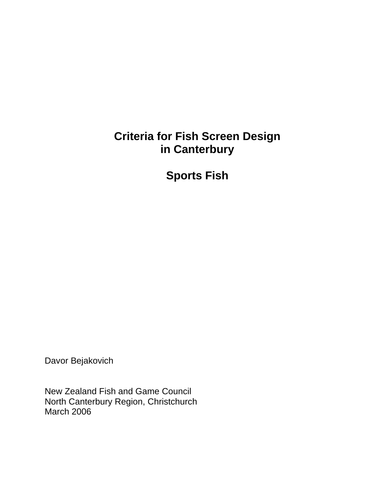## **Criteria for Fish Screen Design in Canterbury**

**Sports Fish** 

Davor Bejakovich

New Zealand Fish and Game Council North Canterbury Region, Christchurch March 2006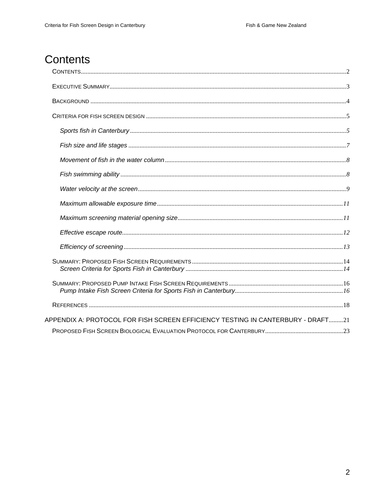# Contents

| APPENDIX A: PROTOCOL FOR FISH SCREEN EFFICIENCY TESTING IN CANTERBURY - DRAFT21 |  |
|---------------------------------------------------------------------------------|--|
|                                                                                 |  |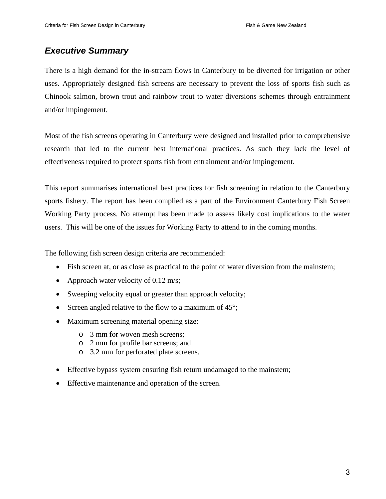### *Executive Summary*

There is a high demand for the in-stream flows in Canterbury to be diverted for irrigation or other uses. Appropriately designed fish screens are necessary to prevent the loss of sports fish such as Chinook salmon, brown trout and rainbow trout to water diversions schemes through entrainment and/or impingement.

Most of the fish screens operating in Canterbury were designed and installed prior to comprehensive research that led to the current best international practices. As such they lack the level of effectiveness required to protect sports fish from entrainment and/or impingement.

This report summarises international best practices for fish screening in relation to the Canterbury sports fishery. The report has been complied as a part of the Environment Canterbury Fish Screen Working Party process. No attempt has been made to assess likely cost implications to the water users. This will be one of the issues for Working Party to attend to in the coming months.

The following fish screen design criteria are recommended:

- Fish screen at, or as close as practical to the point of water diversion from the mainstem;
- Approach water velocity of 0.12 m/s;
- Sweeping velocity equal or greater than approach velocity;
- Screen angled relative to the flow to a maximum of 45°;
- Maximum screening material opening size:
	- o 3 mm for woven mesh screens;
	- o 2 mm for profile bar screens; and
	- o 3.2 mm for perforated plate screens.
- Effective bypass system ensuring fish return undamaged to the mainstem;
- Effective maintenance and operation of the screen.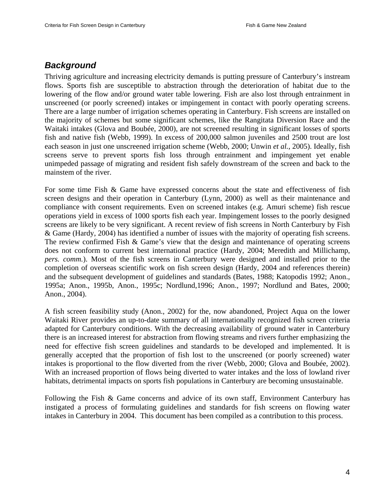### *Background*

Thriving agriculture and increasing electricity demands is putting pressure of Canterbury's instream flows. Sports fish are susceptible to abstraction through the deterioration of habitat due to the lowering of the flow and/or ground water table lowering. Fish are also lost through entrainment in unscreened (or poorly screened) intakes or impingement in contact with poorly operating screens. There are a large number of irrigation schemes operating in Canterbury. Fish screens are installed on the majority of schemes but some significant schemes, like the Rangitata Diversion Race and the Waitaki intakes (Glova and Boubée, 2000), are not screened resulting in significant losses of sports fish and native fish (Webb, 1999). In excess of 200,000 salmon juveniles and 2500 trout are lost each season in just one unscreened irrigation scheme (Webb, 2000; Unwin *et al.*, 2005). Ideally, fish screens serve to prevent sports fish loss through entrainment and impingement yet enable unimpeded passage of migrating and resident fish safely downstream of the screen and back to the mainstem of the river.

For some time Fish & Game have expressed concerns about the state and effectiveness of fish screen designs and their operation in Canterbury (Lynn, 2000) as well as their maintenance and compliance with consent requirements. Even on screened intakes (e.g. Amuri scheme) fish rescue operations yield in excess of 1000 sports fish each year. Impingement losses to the poorly designed screens are likely to be very significant. A recent review of fish screens in North Canterbury by Fish & Game (Hardy, 2004) has identified a number of issues with the majority of operating fish screens. The review confirmed Fish & Game's view that the design and maintenance of operating screens does not conform to current best international practice (Hardy, 2004; Meredith and Millichamp, *pers. comm.*). Most of the fish screens in Canterbury were designed and installed prior to the completion of overseas scientific work on fish screen design (Hardy, 2004 and references therein) and the subsequent development of guidelines and standards (Bates, 1988; Katopodis 1992; Anon., 1995a; Anon., 1995b, Anon., 1995c; Nordlund,1996; Anon., 1997; Nordlund and Bates, 2000; Anon., 2004).

A fish screen feasibility study (Anon., 2002) for the, now abandoned, Project Aqua on the lower Waitaki River provides an up-to-date summary of all internationally recognized fish screen criteria adapted for Canterbury conditions. With the decreasing availability of ground water in Canterbury there is an increased interest for abstraction from flowing streams and rivers further emphasizing the need for effective fish screen guidelines and standards to be developed and implemented. It is generally accepted that the proportion of fish lost to the unscreened (or poorly screened) water intakes is proportional to the flow diverted from the river (Webb, 2000; Glova and Boubée, 2002). With an increased proportion of flows being diverted to water intakes and the loss of lowland river habitats, detrimental impacts on sports fish populations in Canterbury are becoming unsustainable.

Following the Fish & Game concerns and advice of its own staff, Environment Canterbury has instigated a process of formulating guidelines and standards for fish screens on flowing water intakes in Canterbury in 2004. This document has been compiled as a contribution to this process.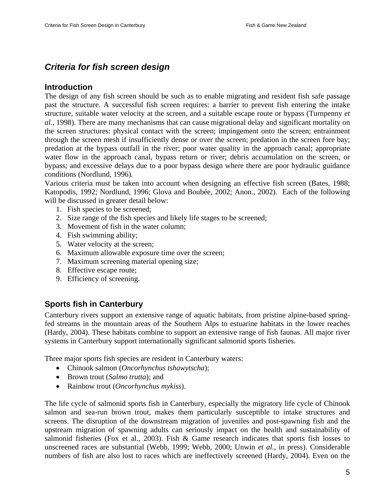### *Criteria for fish screen design*

#### **Introduction**

The design of any fish screen should be such as to enable migrating and resident fish safe passage past the structure. A successful fish screen requires: a barrier to prevent fish entering the intake structure, suitable water velocity at the screen, and a suitable escape route or bypass (Turnpenny *et al.*, 1998). There are many mechanisms that can cause migrational delay and significant mortality on the screen structures: physical contact with the screen; impingement onto the screen; entrainment through the screen mesh if insufficiently dense or over the screen; predation in the screen fore bay; predation at the bypass outfall in the river; poor water quality in the approach canal; appropriate water flow in the approach canal, bypass return or river; debris accumulation on the screen, or bypass; and excessive delays due to a poor bypass design where there are poor hydraulic guidance conditions (Nordlund, 1996).

Various criteria must be taken into account when designing an effective fish screen (Bates, 1988; Katopodis, 1992; Nordlund, 1996; Glova and Boubée, 2002; Anon., 2002). Each of the following will be discussed in greater detail below:

- 1. Fish species to be screened;
- 2. Size range of the fish species and likely life stages to be screened;
- 3. Movement of fish in the water column;
- 4. Fish swimming ability;
- 5. Water velocity at the screen;
- 6. Maximum allowable exposure time over the screen;
- 7. Maximum screening material opening size;
- 8. Effective escape route;
- 9. Efficiency of screening.

### **Sports fish in Canterbury**

Canterbury rivers support an extensive range of aquatic habitats, from pristine alpine-based springfed streams in the mountain areas of the Southern Alps to estuarine habitats in the lower reaches (Hardy, 2004). These habitats combine to support an extensive range of fish faunas. All major river systems in Canterbury support internationally significant salmonid sports fisheries.

Three major sports fish species are resident in Canterbury waters:

- Chinook salmon (*Oncorhynchus tshawytscha*);
- Brown trout (*Salmo trutta*); and
- Rainbow trout (*Oncorhynchus mykiss*).

The life cycle of salmonid sports fish in Canterbury, especially the migratory life cycle of Chinook salmon and sea-run brown trout, makes them particularly susceptible to intake structures and screens. The disruption of the downstream migration of juveniles and post-spawning fish and the upstream migration of spawning adults can seriously impact on the health and sustainability of salmonid fisheries (Fox et al., 2003). Fish & Game research indicates that sports fish losses to unscreened races are substantial (Webb, 1999; Webb, 2000; Unwin *et al*., in press). Considerable numbers of fish are also lost to races which are ineffectively screened (Hardy, 2004). Even on the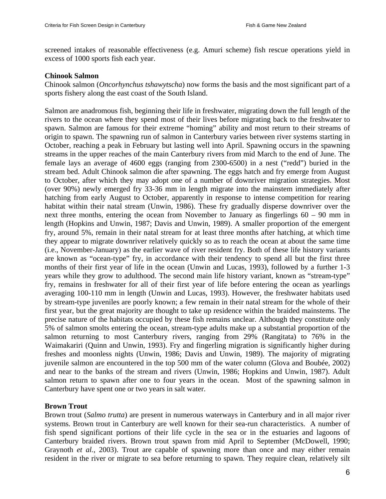screened intakes of reasonable effectiveness (e.g. Amuri scheme) fish rescue operations yield in excess of 1000 sports fish each year.

#### **Chinook Salmon**

Chinook salmon (*Oncorhynchus tshawytscha*) now forms the basis and the most significant part of a sports fishery along the east coast of the South Island.

Salmon are anadromous fish, beginning their life in freshwater, migrating down the full length of the rivers to the ocean where they spend most of their lives before migrating back to the freshwater to spawn. Salmon are famous for their extreme "homing" ability and most return to their streams of origin to spawn. The spawning run of salmon in Canterbury varies between river systems starting in October, reaching a peak in February but lasting well into April. Spawning occurs in the spawning streams in the upper reaches of the main Canterbury rivers from mid March to the end of June. The female lays an average of 4600 eggs (ranging from 2300-6500) in a nest ("redd") buried in the stream bed. Adult Chinook salmon die after spawning. The eggs hatch and fry emerge from August to October, after which they may adopt one of a number of downriver migration strategies. Most (over 90%) newly emerged fry 33-36 mm in length migrate into the mainstem immediately after hatching from early August to October, apparently in response to intense competition for rearing habitat within their natal stream (Unwin, 1986). These fry gradually disperse downriver over the next three months, entering the ocean from November to January as fingerlings 60 – 90 mm in length (Hopkins and Unwin, 1987; Davis and Unwin, 1989). A smaller proportion of the emergent fry, around 5%, remain in their natal stream for at least three months after hatching, at which time they appear to migrate downriver relatively quickly so as to reach the ocean at about the same time (i.e., November-January) as the earlier wave of river resident fry. Both of these life history variants are known as "ocean-type" fry, in accordance with their tendency to spend all but the first three months of their first year of life in the ocean (Unwin and Lucas, 1993), followed by a further 1-3 years while they grow to adulthood. The second main life history variant, known as "stream-type" fry, remains in freshwater for all of their first year of life before entering the ocean as yearlings averaging 100-110 mm in length (Unwin and Lucas, 1993). However, the freshwater habitats used by stream-type juveniles are poorly known; a few remain in their natal stream for the whole of their first year, but the great majority are thought to take up residence within the braided mainstems. The precise nature of the habitats occupied by these fish remains unclear. Although they constitute only 5% of salmon smolts entering the ocean, stream-type adults make up a substantial proportion of the salmon returning to most Canterbury rivers, ranging from 29% (Rangitata) to 76% in the Waimakariri (Quinn and Unwin, 1993). Fry and fingerling migration is significantly higher during freshes and moonless nights (Unwin, 1986; Davis and Unwin, 1989). The majority of migrating juvenile salmon are encountered in the top 500 mm of the water column (Glova and Boubée, 2002) and near to the banks of the stream and rivers (Unwin, 1986; Hopkins and Unwin, 1987). Adult salmon return to spawn after one to four years in the ocean. Most of the spawning salmon in Canterbury have spent one or two years in salt water.

#### **Brown Trout**

Brown trout (*Salmo trutta*) are present in numerous waterways in Canterbury and in all major river systems. Brown trout in Canterbury are well known for their sea-run characteristics. A number of fish spend significant portions of their life cycle in the sea or in the estuaries and lagoons of Canterbury braided rivers. Brown trout spawn from mid April to September (McDowell, 1990; Graynoth *et al.*, 2003). Trout are capable of spawning more than once and may either remain resident in the river or migrate to sea before returning to spawn. They require clean, relatively silt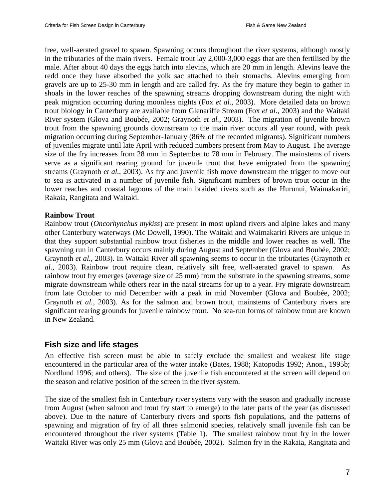free, well-aerated gravel to spawn. Spawning occurs throughout the river systems, although mostly in the tributaries of the main rivers. Female trout lay 2,000-3,000 eggs that are then fertilised by the male. After about 40 days the eggs hatch into alevins, which are 20 mm in length. Alevins leave the redd once they have absorbed the yolk sac attached to their stomachs. Alevins emerging from gravels are up to 25-30 mm in length and are called fry. As the fry mature they begin to gather in shoals in the lower reaches of the spawning streams dropping downstream during the night with peak migration occurring during moonless nights (Fox *et al*., 2003). More detailed data on brown trout biology in Canterbury are available from Glenariffe Stream (Fox *et al*., 2003) and the Waitaki River system (Glova and Boubée, 2002; Graynoth *et al.*, 2003). The migration of juvenile brown trout from the spawning grounds downstream to the main river occurs all year round, with peak migration occurring during September-January (86% of the recorded migrants). Significant numbers of juveniles migrate until late April with reduced numbers present from May to August. The average size of the fry increases from 28 mm in September to 78 mm in February. The mainstems of rivers serve as a significant rearing ground for juvenile trout that have emigrated from the spawning streams (Graynoth *et al.*, 2003). As fry and juvenile fish move downstream the trigger to move out to sea is activated in a number of juvenile fish. Significant numbers of brown trout occur in the lower reaches and coastal lagoons of the main braided rivers such as the Hurunui, Waimakariri, Rakaia, Rangitata and Waitaki.

#### **Rainbow Trout**

Rainbow trout (*Oncorhynchus mykiss*) are present in most upland rivers and alpine lakes and many other Canterbury waterways (Mc Dowell, 1990). The Waitaki and Waimakariri Rivers are unique in that they support substantial rainbow trout fisheries in the middle and lower reaches as well. The spawning run in Canterbury occurs mainly during August and September (Glova and Boubée, 2002; Graynoth *et al.*, 2003). In Waitaki River all spawning seems to occur in the tributaries (Graynoth *et al.*, 2003). Rainbow trout require clean, relatively silt free, well-aerated gravel to spawn. As rainbow trout fry emerges (average size of 25 mm) from the substrate in the spawning streams, some migrate downstream while others rear in the natal streams for up to a year. Fry migrate downstream from late October to mid December with a peak in mid November (Glova and Boubée, 2002; Graynoth *et al.*, 2003). As for the salmon and brown trout, mainstems of Canterbury rivers are significant rearing grounds for juvenile rainbow trout. No sea-run forms of rainbow trout are known in New Zealand.

#### **Fish size and life stages**

An effective fish screen must be able to safely exclude the smallest and weakest life stage encountered in the particular area of the water intake (Bates, 1988; Katopodis 1992; Anon., 1995b; Nordlund 1996; and others). The size of the juvenile fish encountered at the screen will depend on the season and relative position of the screen in the river system.

The size of the smallest fish in Canterbury river systems vary with the season and gradually increase from August (when salmon and trout fry start to emerge) to the later parts of the year (as discussed above). Due to the nature of Canterbury rivers and sports fish populations, and the patterns of spawning and migration of fry of all three salmonid species, relatively small juvenile fish can be encountered throughout the river systems (Table 1). The smallest rainbow trout fry in the lower Waitaki River was only 25 mm (Glova and Boubée, 2002). Salmon fry in the Rakaia, Rangitata and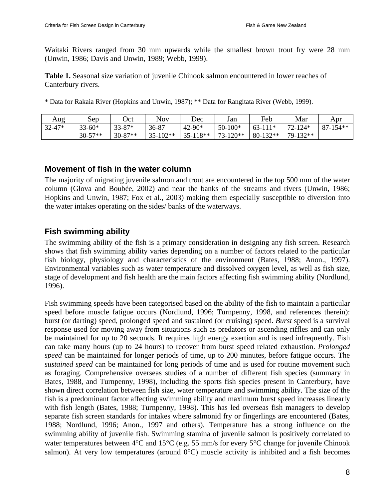Waitaki Rivers ranged from 30 mm upwards while the smallest brown trout fry were 28 mm (Unwin, 1986; Davis and Unwin, 1989; Webb, 1999).

**Table 1.** Seasonal size variation of juvenile Chinook salmon encountered in lower reaches of Canterbury rivers.

\* Data for Rakaia River (Hopkins and Unwin, 1987); \*\* Data for Rangitata River (Webb, 1999).

| Aug        | Sep        | Oct        | <b>Nov</b> | Dec        | Jan         | Feb        | Mar         | Apr          |
|------------|------------|------------|------------|------------|-------------|------------|-------------|--------------|
| $32 - 47*$ | $33 - 60*$ | $33 - 87*$ | 36-87      | $42 - 90*$ | $50 - 100*$ | $63-111*$  | $72 - 124*$ | $87 - 154**$ |
|            | $30-57**$  | $30-87**$  | $35-102**$ | $35-118**$ | $73-120**$  | $80-132**$ | 79-132**    |              |

#### **Movement of fish in the water column**

The majority of migrating juvenile salmon and trout are encountered in the top 500 mm of the water column (Glova and Boubée, 2002) and near the banks of the streams and rivers (Unwin, 1986; Hopkins and Unwin, 1987; Fox et al., 2003) making them especially susceptible to diversion into the water intakes operating on the sides/ banks of the waterways.

### **Fish swimming ability**

The swimming ability of the fish is a primary consideration in designing any fish screen. Research shows that fish swimming ability varies depending on a number of factors related to the particular fish biology, physiology and characteristics of the environment (Bates, 1988; Anon., 1997). Environmental variables such as water temperature and dissolved oxygen level, as well as fish size, stage of development and fish health are the main factors affecting fish swimming ability (Nordlund, 1996).

Fish swimming speeds have been categorised based on the ability of the fish to maintain a particular speed before muscle fatigue occurs (Nordlund, 1996; Turnpenny, 1998, and references therein): burst (or darting) speed, prolonged speed and sustained (or cruising) speed. *Burst* speed is a survival response used for moving away from situations such as predators or ascending riffles and can only be maintained for up to 20 seconds. It requires high energy exertion and is used infrequently. Fish can take many hours (up to 24 hours) to recover from burst speed related exhaustion. *Prolonged speed* can be maintained for longer periods of time, up to 200 minutes, before fatigue occurs. The *sustained speed* can be maintained for long periods of time and is used for routine movement such as foraging. Comprehensive overseas studies of a number of different fish species (summary in Bates, 1988, and Turnpenny, 1998), including the sports fish species present in Canterbury, have shown direct correlation between fish size, water temperature and swimming ability. The size of the fish is a predominant factor affecting swimming ability and maximum burst speed increases linearly with fish length (Bates, 1988; Turnpenny, 1998). This has led overseas fish managers to develop separate fish screen standards for intakes where salmonid fry or fingerlings are encountered (Bates, 1988; Nordlund, 1996; Anon., 1997 and others). Temperature has a strong influence on the swimming ability of juvenile fish. Swimming stamina of juvenile salmon is positively correlated to water temperatures between 4°C and 15°C (e.g. 55 mm/s for every 5°C change for juvenile Chinook salmon). At very low temperatures (around  $0^{\circ}$ C) muscle activity is inhibited and a fish becomes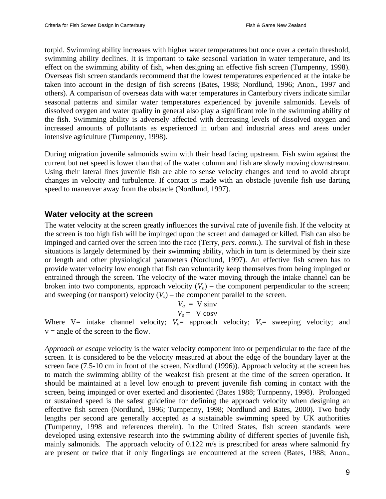torpid. Swimming ability increases with higher water temperatures but once over a certain threshold, swimming ability declines. It is important to take seasonal variation in water temperature, and its effect on the swimming ability of fish, when designing an effective fish screen (Turnpenny, 1998). Overseas fish screen standards recommend that the lowest temperatures experienced at the intake be taken into account in the design of fish screens (Bates, 1988; Nordlund, 1996; Anon., 1997 and others). A comparison of overseas data with water temperatures in Canterbury rivers indicate similar seasonal patterns and similar water temperatures experienced by juvenile salmonids. Levels of dissolved oxygen and water quality in general also play a significant role in the swimming ability of the fish. Swimming ability is adversely affected with decreasing levels of dissolved oxygen and increased amounts of pollutants as experienced in urban and industrial areas and areas under intensive agriculture (Turnpenny, 1998).

During migration juvenile salmonids swim with their head facing upstream. Fish swim against the current but net speed is lower than that of the water column and fish are slowly moving downstream. Using their lateral lines juvenile fish are able to sense velocity changes and tend to avoid abrupt changes in velocity and turbulence. If contact is made with an obstacle juvenile fish use darting speed to maneuver away from the obstacle (Nordlund, 1997).

#### **Water velocity at the screen**

The water velocity at the screen greatly influences the survival rate of juvenile fish. If the velocity at the screen is too high fish will be impinged upon the screen and damaged or killed. Fish can also be impinged and carried over the screen into the race (Terry, *pers. comm.*). The survival of fish in these situations is largely determined by their swimming ability, which in turn is determined by their size or length and other physiological parameters (Nordlund, 1997). An effective fish screen has to provide water velocity low enough that fish can voluntarily keep themselves from being impinged or entrained through the screen. The velocity of the water moving through the intake channel can be broken into two components, approach velocity  $(V_a)$  – the component perpendicular to the screen; and sweeping (or transport) velocity  $(V_s)$  – the component parallel to the screen.

$$
V_a = V \sin v
$$
  

$$
V_s = V \cos v
$$

Where  $V=$  intake channel velocity;  $V_a=$  approach velocity;  $V_s=$  sweeping velocity; and  $v =$  angle of the screen to the flow.

*Approach or escape* velocity is the water velocity component into or perpendicular to the face of the screen. It is considered to be the velocity measured at about the edge of the boundary layer at the screen face (7.5-10 cm in front of the screen, Nordlund (1996)). Approach velocity at the screen has to match the swimming ability of the weakest fish present at the time of the screen operation. It should be maintained at a level low enough to prevent juvenile fish coming in contact with the screen, being impinged or over exerted and disoriented (Bates 1988; Turnpenny, 1998). Prolonged or sustained speed is the safest guideline for defining the approach velocity when designing an effective fish screen (Nordlund, 1996; Turnpenny, 1998; Nordlund and Bates, 2000). Two body lengths per second are generally accepted as a sustainable swimming speed by UK authorities (Turnpenny, 1998 and references therein). In the United States, fish screen standards were developed using extensive research into the swimming ability of different species of juvenile fish, mainly salmonids. The approach velocity of 0.122 m/s is prescribed for areas where salmonid fry are present or twice that if only fingerlings are encountered at the screen (Bates, 1988; Anon.,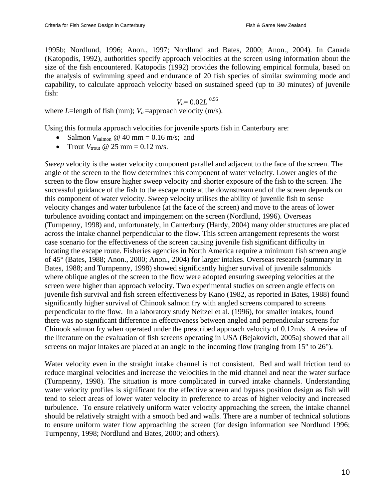1995b; Nordlund, 1996; Anon., 1997; Nordlund and Bates, 2000; Anon., 2004). In Canada (Katopodis, 1992), authorities specify approach velocities at the screen using information about the size of the fish encountered. Katopodis (1992) provides the following empirical formula, based on the analysis of swimming speed and endurance of 20 fish species of similar swimming mode and capability, to calculate approach velocity based on sustained speed (up to 30 minutes) of juvenile fish:

$$
V_a = 0.02L^{0.56}
$$

where *L*=length of fish (mm);  $V_a$ =approach velocity (m/s).

Using this formula approach velocities for juvenile sports fish in Canterbury are:

- Salmon  $V_{\text{salmon}}$   $\omega$  40 mm = 0.16 m/s; and
- Trout  $V_{\text{trout}}$  @ 25 mm = 0.12 m/s.

*Sweep* velocity is the water velocity component parallel and adjacent to the face of the screen. The angle of the screen to the flow determines this component of water velocity. Lower angles of the screen to the flow ensure higher sweep velocity and shorter exposure of the fish to the screen. The successful guidance of the fish to the escape route at the downstream end of the screen depends on this component of water velocity. Sweep velocity utilises the ability of juvenile fish to sense velocity changes and water turbulence (at the face of the screen) and move to the areas of lower turbulence avoiding contact and impingement on the screen (Nordlund, 1996). Overseas (Turnpenny, 1998) and, unfortunately, in Canterbury (Hardy, 2004) many older structures are placed across the intake channel perpendicular to the flow. This screen arrangement represents the worst case scenario for the effectiveness of the screen causing juvenile fish significant difficulty in locating the escape route. Fisheries agencies in North America require a minimum fish screen angle of 45° (Bates, 1988; Anon., 2000; Anon., 2004) for larger intakes. Overseas research (summary in Bates, 1988; and Turnpenny, 1998) showed significantly higher survival of juvenile salmonids where oblique angles of the screen to the flow were adopted ensuring sweeping velocities at the screen were higher than approach velocity. Two experimental studies on screen angle effects on juvenile fish survival and fish screen effectiveness by Kano (1982, as reported in Bates, 1988) found significantly higher survival of Chinook salmon fry with angled screens compared to screens perpendicular to the flow. In a laboratory study Neitzel et al. (1996), for smaller intakes, found there was no significant difference in effectiveness between angled and perpendicular screens for Chinook salmon fry when operated under the prescribed approach velocity of 0.12m/s . A review of the literature on the evaluation of fish screens operating in USA (Bejakovich, 2005a) showed that all screens on major intakes are placed at an angle to the incoming flow (ranging from 15<sup>°</sup> to 26<sup>°</sup>).

Water velocity even in the straight intake channel is not consistent. Bed and wall friction tend to reduce marginal velocities and increase the velocities in the mid channel and near the water surface (Turnpenny, 1998). The situation is more complicated in curved intake channels. Understanding water velocity profiles is significant for the effective screen and bypass position design as fish will tend to select areas of lower water velocity in preference to areas of higher velocity and increased turbulence. To ensure relatively uniform water velocity approaching the screen, the intake channel should be relatively straight with a smooth bed and walls. There are a number of technical solutions to ensure uniform water flow approaching the screen (for design information see Nordlund 1996; Turnpenny, 1998; Nordlund and Bates, 2000; and others).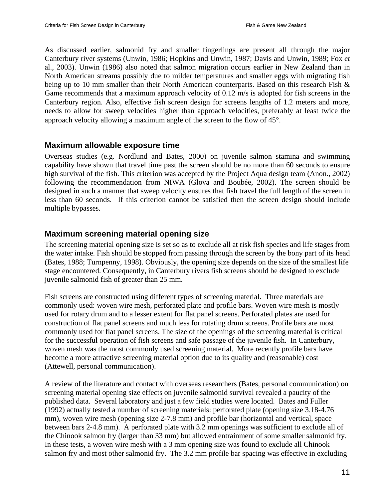As discussed earlier, salmonid fry and smaller fingerlings are present all through the major Canterbury river systems (Unwin, 1986; Hopkins and Unwin, 1987; Davis and Unwin, 1989; Fox *et*  al., 2003). Unwin (1986) also noted that salmon migration occurs earlier in New Zealand than in North American streams possibly due to milder temperatures and smaller eggs with migrating fish being up to 10 mm smaller than their North American counterparts. Based on this research Fish & Game recommends that a maximum approach velocity of 0.12 m/s is adopted for fish screens in the Canterbury region. Also, effective fish screen design for screens lengths of 1.2 meters and more, needs to allow for sweep velocities higher than approach velocities, preferably at least twice the approach velocity allowing a maximum angle of the screen to the flow of 45°.

### **Maximum allowable exposure time**

Overseas studies (e.g. Nordlund and Bates, 2000) on juvenile salmon stamina and swimming capability have shown that travel time past the screen should be no more than 60 seconds to ensure high survival of the fish. This criterion was accepted by the Project Aqua design team (Anon., 2002) following the recommendation from NIWA (Glova and Boubée, 2002). The screen should be designed in such a manner that sweep velocity ensures that fish travel the full length of the screen in less than 60 seconds. If this criterion cannot be satisfied then the screen design should include multiple bypasses.

### **Maximum screening material opening size**

The screening material opening size is set so as to exclude all at risk fish species and life stages from the water intake. Fish should be stopped from passing through the screen by the bony part of its head (Bates, 1988; Turnpenny, 1998). Obviously, the opening size depends on the size of the smallest life stage encountered. Consequently, in Canterbury rivers fish screens should be designed to exclude juvenile salmonid fish of greater than 25 mm.

Fish screens are constructed using different types of screening material. Three materials are commonly used: woven wire mesh, perforated plate and profile bars. Woven wire mesh is mostly used for rotary drum and to a lesser extent for flat panel screens. Perforated plates are used for construction of flat panel screens and much less for rotating drum screens. Profile bars are most commonly used for flat panel screens. The size of the openings of the screening material is critical for the successful operation of fish screens and safe passage of the juvenile fish. In Canterbury, woven mesh was the most commonly used screening material. More recently profile bars have become a more attractive screening material option due to its quality and (reasonable) cost (Attewell, personal communication).

A review of the literature and contact with overseas researchers (Bates, personal communication) on screening material opening size effects on juvenile salmonid survival revealed a paucity of the published data. Several laboratory and just a few field studies were located. Bates and Fuller (1992) actually tested a number of screening materials: perforated plate (opening size 3.18-4.76 mm), woven wire mesh (opening size 2-7.8 mm) and profile bar (horizontal and vertical, space between bars 2-4.8 mm). A perforated plate with 3.2 mm openings was sufficient to exclude all of the Chinook salmon fry (larger than 33 mm) but allowed entrainment of some smaller salmonid fry. In these tests, a woven wire mesh with a 3 mm opening size was found to exclude all Chinook salmon fry and most other salmonid fry. The 3.2 mm profile bar spacing was effective in excluding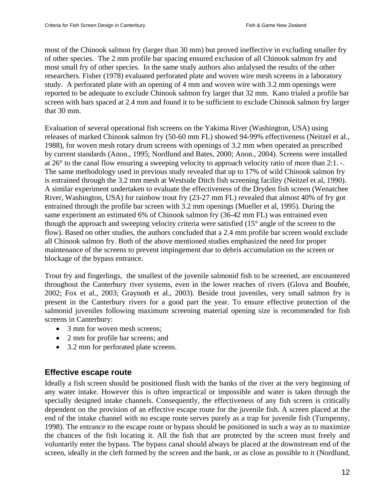most of the Chinook salmon fry (larger than 30 mm) but proved ineffective in excluding smaller fry of other species. The 2 mm profile bar spacing ensured exclusion of all Chinook salmon fry and most small fry of other species. In the same study authors also anlalysed the results of the other researchers. Fisher (1978) evaluated perforated plate and woven wire mesh screens in a laboratory study. A perforated plate with an opening of 4 mm and woven wire with 3.2 mm openings were reported to be adequate to exclude Chinook salmon fry larger that 32 mm. Kano trialed a profile bar screen with bars spaced at 2.4 mm and found it to be sufficient to exclude Chinook salmon fry larger that 30 mm.

Evaluation of several operational fish screens on the Yakima River (Washington, USA) using releases of marked Chinook salmon fry (50-60 mm FL) showed 94-99% effectiveness (Neitzel et al., 1988), for woven mesh rotary drum screens with openings of 3.2 mm when operated as prescribed by current standards (Anon., 1995; Nordlund and Bates, 2000; Anon., 2004). Screens were installed at 26° to the canal flow ensuring a sweeping velocity to approach velocity ratio of more than 2:1. -. The same methodology used in previous study revealed that up to 17% of wild Chinook salmon fry is entrained through the 3.2 mm mesh at Westside Ditch fish screening facility (Neitzel et al, 1990). A similar experiment undertaken to evaluate the effectiveness of the Dryden fish screen (Wenatchee River, Washington, USA) for rainbow trout fry (23-27 mm FL) revealed that almost 40% of fry got entrained through the profile bar screen with 3.2 mm openings (Mueller et al, 1995). During the same experiment an estimated 6% of Chinook salmon fry (36-42 mm FL) was entrained even though the approach and sweeping velocity criteria were satisfied (15° angle of the screen to the flow). Based on other studies, the authors concluded that a 2.4 mm profile bar screen would exclude all Chinook salmon fry. Both of the above mentioned studies emphasized the need for proper maintenance of the screens to prevent impingement due to debris accumulation on the screen or blockage of the bypass entrance.

Trout fry and fingerlings, the smallest of the juvenile salmonid fish to be screened, are encountered throughout the Canterbury river systems, even in the lower reaches of rivers (Glova and Boubée, 2002; Fox et al., 2003; Graynoth et al., 2003). Beside trout juveniles, very small salmon fry is present in the Canterbury rivers for a good part the year. To ensure effective protection of the salmonid juveniles following maximum screening material opening size is recommended for fish screens in Canterbury:

- 3 mm for woven mesh screens;
- 2 mm for profile bar screens; and
- 3.2 mm for perforated plate screens.

### **Effective escape route**

Ideally a fish screen should be positioned flush with the banks of the river at the very beginning of any water intake. However this is often impractical or impossible and water is taken through the specially designed intake channels. Consequently, the effectiveness of any fish screen is critically dependent on the provision of an effective escape route for the juvenile fish. A screen placed at the end of the intake channel with no escape route serves purely as a trap for juvenile fish (Turnpenny, 1998). The entrance to the escape route or bypass should be positioned in such a way as to maximize the chances of the fish locating it. All the fish that are protected by the screen must freely and voluntarily enter the bypass. The bypass canal should always be placed at the downstream end of the screen, ideally in the cleft formed by the screen and the bank, or as close as possible to it (Nordlund,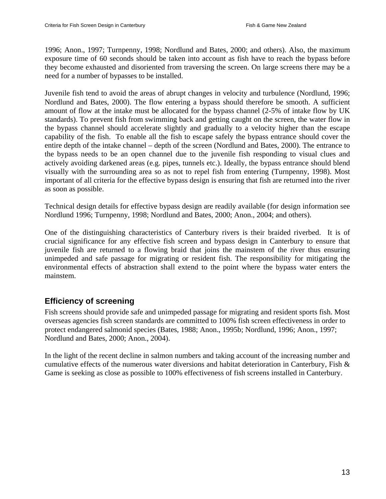1996; Anon., 1997; Turnpenny, 1998; Nordlund and Bates, 2000; and others). Also, the maximum exposure time of 60 seconds should be taken into account as fish have to reach the bypass before they become exhausted and disoriented from traversing the screen. On large screens there may be a need for a number of bypasses to be installed.

Juvenile fish tend to avoid the areas of abrupt changes in velocity and turbulence (Nordlund, 1996; Nordlund and Bates, 2000). The flow entering a bypass should therefore be smooth. A sufficient amount of flow at the intake must be allocated for the bypass channel (2-5% of intake flow by UK standards). To prevent fish from swimming back and getting caught on the screen, the water flow in the bypass channel should accelerate slightly and gradually to a velocity higher than the escape capability of the fish. To enable all the fish to escape safely the bypass entrance should cover the entire depth of the intake channel – depth of the screen (Nordlund and Bates, 2000). The entrance to the bypass needs to be an open channel due to the juvenile fish responding to visual clues and actively avoiding darkened areas (e.g. pipes, tunnels etc.). Ideally, the bypass entrance should blend visually with the surrounding area so as not to repel fish from entering (Turnpenny, 1998). Most important of all criteria for the effective bypass design is ensuring that fish are returned into the river as soon as possible.

Technical design details for effective bypass design are readily available (for design information see Nordlund 1996; Turnpenny, 1998; Nordlund and Bates, 2000; Anon., 2004; and others).

One of the distinguishing characteristics of Canterbury rivers is their braided riverbed. It is of crucial significance for any effective fish screen and bypass design in Canterbury to ensure that juvenile fish are returned to a flowing braid that joins the mainstem of the river thus ensuring unimpeded and safe passage for migrating or resident fish. The responsibility for mitigating the environmental effects of abstraction shall extend to the point where the bypass water enters the mainstem.

### **Efficiency of screening**

Fish screens should provide safe and unimpeded passage for migrating and resident sports fish. Most overseas agencies fish screen standards are committed to 100% fish screen effectiveness in order to protect endangered salmonid species (Bates, 1988; Anon., 1995b; Nordlund, 1996; Anon., 1997; Nordlund and Bates, 2000; Anon., 2004).

In the light of the recent decline in salmon numbers and taking account of the increasing number and cumulative effects of the numerous water diversions and habitat deterioration in Canterbury, Fish  $\&$ Game is seeking as close as possible to 100% effectiveness of fish screens installed in Canterbury.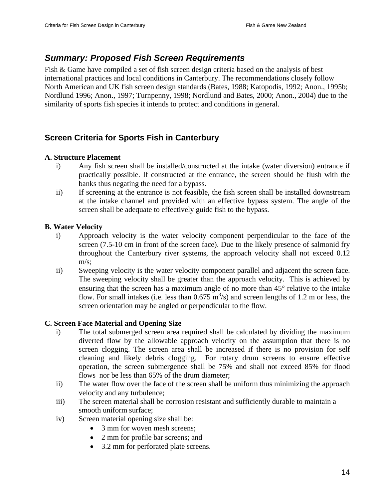### *Summary: Proposed Fish Screen Requirements*

Fish & Game have compiled a set of fish screen design criteria based on the analysis of best international practices and local conditions in Canterbury. The recommendations closely follow North American and UK fish screen design standards (Bates, 1988; Katopodis, 1992; Anon., 1995b; Nordlund 1996; Anon., 1997; Turnpenny, 1998; Nordlund and Bates, 2000; Anon., 2004) due to the similarity of sports fish species it intends to protect and conditions in general.

### **Screen Criteria for Sports Fish in Canterbury**

#### **A. Structure Placement**

- i) Any fish screen shall be installed/constructed at the intake (water diversion) entrance if practically possible. If constructed at the entrance, the screen should be flush with the banks thus negating the need for a bypass.
- ii) If screening at the entrance is not feasible, the fish screen shall be installed downstream at the intake channel and provided with an effective bypass system. The angle of the screen shall be adequate to effectively guide fish to the bypass.

#### **B. Water Velocity**

- i) Approach velocity is the water velocity component perpendicular to the face of the screen (7.5-10 cm in front of the screen face). Due to the likely presence of salmonid fry throughout the Canterbury river systems, the approach velocity shall not exceed 0.12 m/s;
- ii) Sweeping velocity is the water velocity component parallel and adjacent the screen face. The sweeping velocity shall be greater than the approach velocity. This is achieved by ensuring that the screen has a maximum angle of no more than 45° relative to the intake flow. For small intakes (i.e. less than  $0.675 \text{ m}^3/\text{s}$ ) and screen lengths of 1.2 m or less, the screen orientation may be angled or perpendicular to the flow.

#### **C. Screen Face Material and Opening Size**

- i) The total submerged screen area required shall be calculated by dividing the maximum diverted flow by the allowable approach velocity on the assumption that there is no screen clogging. The screen area shall be increased if there is no provision for self cleaning and likely debris clogging. For rotary drum screens to ensure effective operation, the screen submergence shall be 75% and shall not exceed 85% for flood flows nor be less than 65% of the drum diameter;
- ii) The water flow over the face of the screen shall be uniform thus minimizing the approach velocity and any turbulence;
- iii) The screen material shall be corrosion resistant and sufficiently durable to maintain a smooth uniform surface;
- iv) Screen material opening size shall be:
	- 3 mm for woven mesh screens:
	- 2 mm for profile bar screens; and
	- 3.2 mm for perforated plate screens.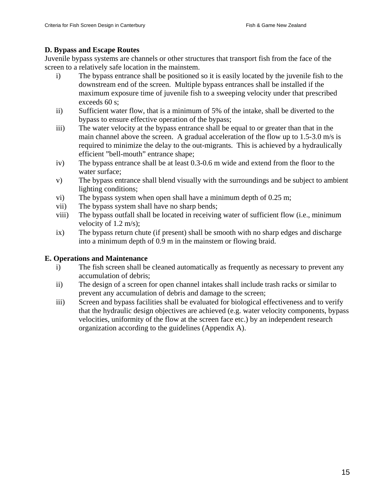#### **D. Bypass and Escape Routes**

Juvenile bypass systems are channels or other structures that transport fish from the face of the screen to a relatively safe location in the mainstem.

- i) The bypass entrance shall be positioned so it is easily located by the juvenile fish to the downstream end of the screen. Multiple bypass entrances shall be installed if the maximum exposure time of juvenile fish to a sweeping velocity under that prescribed exceeds 60 s;
- ii) Sufficient water flow, that is a minimum of 5% of the intake, shall be diverted to the bypass to ensure effective operation of the bypass;
- iii) The water velocity at the bypass entrance shall be equal to or greater than that in the main channel above the screen. A gradual acceleration of the flow up to  $1.5\n-3.0$  m/s is required to minimize the delay to the out-migrants. This is achieved by a hydraulically efficient "bell-mouth" entrance shape;
- iv) The bypass entrance shall be at least 0.3-0.6 m wide and extend from the floor to the water surface;
- v) The bypass entrance shall blend visually with the surroundings and be subject to ambient lighting conditions;
- vi) The bypass system when open shall have a minimum depth of 0.25 m;
- vii) The bypass system shall have no sharp bends;
- viii) The bypass outfall shall be located in receiving water of sufficient flow (i.e., minimum velocity of 1.2 m/s);
- ix) The bypass return chute (if present) shall be smooth with no sharp edges and discharge into a minimum depth of 0.9 m in the mainstem or flowing braid.

#### **E. Operations and Maintenance**

- i) The fish screen shall be cleaned automatically as frequently as necessary to prevent any accumulation of debris;
- ii) The design of a screen for open channel intakes shall include trash racks or similar to prevent any accumulation of debris and damage to the screen;
- iii) Screen and bypass facilities shall be evaluated for biological effectiveness and to verify that the hydraulic design objectives are achieved (e.g. water velocity components, bypass velocities, uniformity of the flow at the screen face etc.) by an independent research organization according to the guidelines (Appendix A).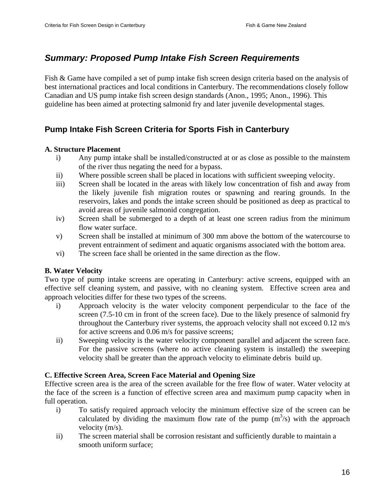### *Summary: Proposed Pump Intake Fish Screen Requirements*

Fish & Game have compiled a set of pump intake fish screen design criteria based on the analysis of best international practices and local conditions in Canterbury. The recommendations closely follow Canadian and US pump intake fish screen design standards (Anon., 1995; Anon., 1996). This guideline has been aimed at protecting salmonid fry and later juvenile developmental stages.

### **Pump Intake Fish Screen Criteria for Sports Fish in Canterbury**

#### **A. Structure Placement**

- i) Any pump intake shall be installed/constructed at or as close as possible to the mainstem of the river thus negating the need for a bypass.
- ii) Where possible screen shall be placed in locations with sufficient sweeping velocity.
- iii) Screen shall be located in the areas with likely low concentration of fish and away from the likely juvenile fish migration routes or spawning and rearing grounds. In the reservoirs, lakes and ponds the intake screen should be positioned as deep as practical to avoid areas of juvenile salmonid congregation.
- iv) Screen shall be submerged to a depth of at least one screen radius from the minimum flow water surface.
- v) Screen shall be installed at minimum of 300 mm above the bottom of the watercourse to prevent entrainment of sediment and aquatic organisms associated with the bottom area.
- vi) The screen face shall be oriented in the same direction as the flow.

#### **B. Water Velocity**

Two type of pump intake screens are operating in Canterbury: active screens, equipped with an effective self cleaning system, and passive, with no cleaning system. Effective screen area and approach velocities differ for these two types of the screens.

- i) Approach velocity is the water velocity component perpendicular to the face of the screen (7.5-10 cm in front of the screen face). Due to the likely presence of salmonid fry throughout the Canterbury river systems, the approach velocity shall not exceed 0.12 m/s for active screens and 0.06 m/s for passive screens;
- ii) Sweeping velocity is the water velocity component parallel and adjacent the screen face. For the passive screens (where no active cleaning system is installed) the sweeping velocity shall be greater than the approach velocity to eliminate debris build up.

#### **C. Effective Screen Area, Screen Face Material and Opening Size**

Effective screen area is the area of the screen available for the free flow of water. Water velocity at the face of the screen is a function of effective screen area and maximum pump capacity when in full operation.

- i) To satisfy required approach velocity the minimum effective size of the screen can be calculated by dividing the maximum flow rate of the pump  $(m^3/s)$  with the approach velocity (m/s).
- ii) The screen material shall be corrosion resistant and sufficiently durable to maintain a smooth uniform surface;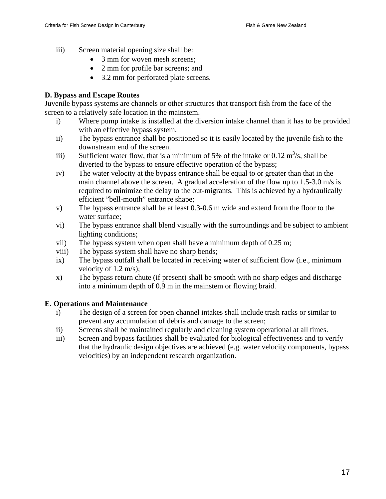- iii) Screen material opening size shall be:
	- 3 mm for woven mesh screens;
	- 2 mm for profile bar screens; and
	- 3.2 mm for perforated plate screens.

#### **D. Bypass and Escape Routes**

Juvenile bypass systems are channels or other structures that transport fish from the face of the screen to a relatively safe location in the mainstem.

- i) Where pump intake is installed at the diversion intake channel than it has to be provided with an effective bypass system.
- ii) The bypass entrance shall be positioned so it is easily located by the juvenile fish to the downstream end of the screen.
- iii) Sufficient water flow, that is a minimum of 5% of the intake or 0.12  $\text{m}^3\text{/s}$ , shall be diverted to the bypass to ensure effective operation of the bypass;
- iv) The water velocity at the bypass entrance shall be equal to or greater than that in the main channel above the screen. A gradual acceleration of the flow up to 1.5-3.0 m/s is required to minimize the delay to the out-migrants. This is achieved by a hydraulically efficient "bell-mouth" entrance shape;
- v) The bypass entrance shall be at least 0.3-0.6 m wide and extend from the floor to the water surface;
- vi) The bypass entrance shall blend visually with the surroundings and be subject to ambient lighting conditions;
- vii) The bypass system when open shall have a minimum depth of 0.25 m;
- viii) The bypass system shall have no sharp bends;
- ix) The bypass outfall shall be located in receiving water of sufficient flow (i.e., minimum velocity of 1.2 m/s);
- x) The bypass return chute (if present) shall be smooth with no sharp edges and discharge into a minimum depth of 0.9 m in the mainstem or flowing braid.

#### **E. Operations and Maintenance**

- i) The design of a screen for open channel intakes shall include trash racks or similar to prevent any accumulation of debris and damage to the screen;
- ii) Screens shall be maintained regularly and cleaning system operational at all times.
- iii) Screen and bypass facilities shall be evaluated for biological effectiveness and to verify that the hydraulic design objectives are achieved (e.g. water velocity components, bypass velocities) by an independent research organization.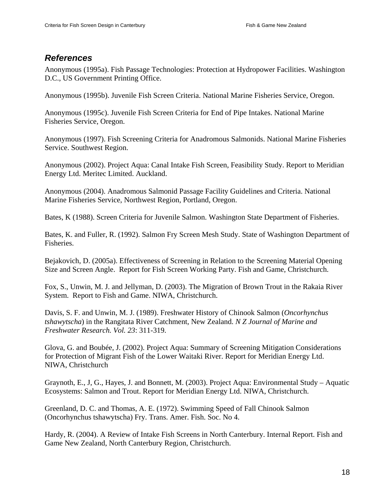### *References*

Anonymous (1995a). Fish Passage Technologies: Protection at Hydropower Facilities. Washington D.C., US Government Printing Office.

Anonymous (1995b). Juvenile Fish Screen Criteria. National Marine Fisheries Service, Oregon.

Anonymous (1995c). Juvenile Fish Screen Criteria for End of Pipe Intakes. National Marine Fisheries Service, Oregon.

Anonymous (1997). Fish Screening Criteria for Anadromous Salmonids. National Marine Fisheries Service. Southwest Region.

Anonymous (2002). Project Aqua: Canal Intake Fish Screen, Feasibility Study. Report to Meridian Energy Ltd. Meritec Limited. Auckland.

Anonymous (2004). Anadromous Salmonid Passage Facility Guidelines and Criteria. National Marine Fisheries Service, Northwest Region, Portland, Oregon.

Bates, K (1988). Screen Criteria for Juvenile Salmon. Washington State Department of Fisheries.

Bates, K. and Fuller, R. (1992). Salmon Fry Screen Mesh Study. State of Washington Department of Fisheries.

Bejakovich, D. (2005a). Effectiveness of Screening in Relation to the Screening Material Opening Size and Screen Angle. Report for Fish Screen Working Party. Fish and Game, Christchurch.

Fox, S., Unwin, M. J. and Jellyman, D. (2003). The Migration of Brown Trout in the Rakaia River System. Report to Fish and Game. NIWA, Christchurch.

Davis, S. F. and Unwin, M. J. (1989). Freshwater History of Chinook Salmon (*Oncorhynchus tshawytscha*) in the Rangitata River Catchment, New Zealand. *N Z Journal of Marine and Freshwater Research. Vol. 23*: 311-319.

Glova, G. and Boubée, J. (2002). Project Aqua: Summary of Screening Mitigation Considerations for Protection of Migrant Fish of the Lower Waitaki River. Report for Meridian Energy Ltd. NIWA, Christchurch

Graynoth, E., J, G., Hayes, J. and Bonnett, M. (2003). Project Aqua: Environmental Study – Aquatic Ecosystems: Salmon and Trout. Report for Meridian Energy Ltd. NIWA, Christchurch.

Greenland, D. C. and Thomas, A. E. (1972). Swimming Speed of Fall Chinook Salmon (Oncorhynchus tshawytscha) Fry. Trans. Amer. Fish. Soc. No 4.

Hardy, R. (2004). A Review of Intake Fish Screens in North Canterbury. Internal Report. Fish and Game New Zealand, North Canterbury Region, Christchurch.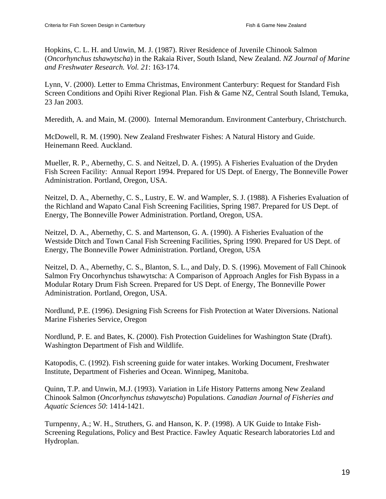Hopkins, C. L. H. and Unwin, M. J. (1987). River Residence of Juvenile Chinook Salmon (*Oncorhynchus tshawytscha*) in the Rakaia River, South Island, New Zealand. *NZ Journal of Marine and Freshwater Research. Vol. 21*: 163-174.

Lynn, V. (2000). Letter to Emma Christmas, Environment Canterbury: Request for Standard Fish Screen Conditions and Opihi River Regional Plan. Fish & Game NZ, Central South Island, Temuka, 23 Jan 2003.

Meredith, A. and Main, M. (2000). Internal Memorandum. Environment Canterbury, Christchurch.

McDowell, R. M. (1990). New Zealand Freshwater Fishes: A Natural History and Guide. Heinemann Reed. Auckland.

Mueller, R. P., Abernethy, C. S. and Neitzel, D. A. (1995). A Fisheries Evaluation of the Dryden Fish Screen Facility: Annual Report 1994. Prepared for US Dept. of Energy, The Bonneville Power Administration. Portland, Oregon, USA.

Neitzel, D. A., Abernethy, C. S., Lustry, E. W. and Wampler, S. J. (1988). A Fisheries Evaluation of the Richland and Wapato Canal Fish Screening Facilities, Spring 1987. Prepared for US Dept. of Energy, The Bonneville Power Administration. Portland, Oregon, USA.

Neitzel, D. A., Abernethy, C. S. and Martenson, G. A. (1990). A Fisheries Evaluation of the Westside Ditch and Town Canal Fish Screening Facilities, Spring 1990. Prepared for US Dept. of Energy, The Bonneville Power Administration. Portland, Oregon, USA

Neitzel, D. A., Abernethy, C. S., Blanton, S. L., and Daly, D. S. (1996). Movement of Fall Chinook Salmon Fry Oncorhynchus tshawytscha: A Comparison of Approach Angles for Fish Bypass in a Modular Rotary Drum Fish Screen. Prepared for US Dept. of Energy, The Bonneville Power Administration. Portland, Oregon, USA.

Nordlund, P.E. (1996). Designing Fish Screens for Fish Protection at Water Diversions. National Marine Fisheries Service, Oregon

Nordlund, P. E. and Bates, K. (2000). Fish Protection Guidelines for Washington State (Draft). Washington Department of Fish and Wildlife.

Katopodis, C. (1992). Fish screening guide for water intakes. Working Document, Freshwater Institute, Department of Fisheries and Ocean. Winnipeg, Manitoba.

Quinn, T.P. and Unwin, M.J. (1993). Variation in Life History Patterns among New Zealand Chinook Salmon (*Oncorhynchus tshawytscha*) Populations. *Canadian Journal of Fisheries and Aquatic Sciences 50*: 1414-1421.

Turnpenny, A.; W. H., Struthers, G. and Hanson, K. P. (1998). A UK Guide to Intake Fish-Screening Regulations, Policy and Best Practice. Fawley Aquatic Research laboratories Ltd and Hydroplan.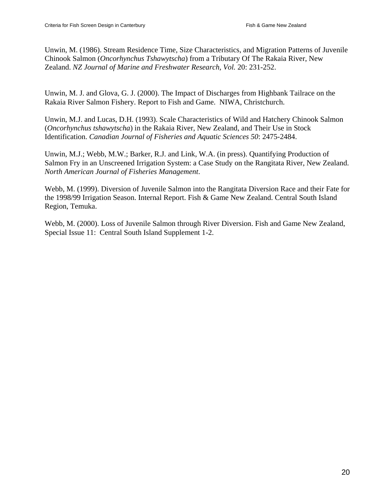Unwin, M. (1986). Stream Residence Time, Size Characteristics, and Migration Patterns of Juvenile Chinook Salmon (*Oncorhynchus Tshawytscha*) from a Tributary Of The Rakaia River, New Zealand. *NZ Journal of Marine and Freshwater Research, Vol.* 20: 231-252.

Unwin, M. J. and Glova, G. J. (2000). The Impact of Discharges from Highbank Tailrace on the Rakaia River Salmon Fishery. Report to Fish and Game. NIWA, Christchurch.

Unwin, M.J. and Lucas, D.H. (1993). Scale Characteristics of Wild and Hatchery Chinook Salmon (*Oncorhynchus tshawytscha*) in the Rakaia River, New Zealand, and Their Use in Stock Identification. *Canadian Journal of Fisheries and Aquatic Sciences 50*: 2475-2484.

Unwin, M.J.; Webb, M.W.; Barker, R.J. and Link, W.A. (in press). Quantifying Production of Salmon Fry in an Unscreened Irrigation System: a Case Study on the Rangitata River, New Zealand. *North American Journal of Fisheries Management*.

Webb, M. (1999). Diversion of Juvenile Salmon into the Rangitata Diversion Race and their Fate for the 1998/99 Irrigation Season. Internal Report. Fish & Game New Zealand. Central South Island Region, Temuka.

Webb, M. (2000). Loss of Juvenile Salmon through River Diversion. Fish and Game New Zealand, Special Issue 11: Central South Island Supplement 1-2.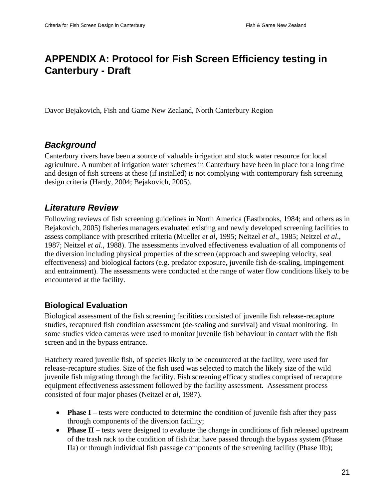## **APPENDIX A: Protocol for Fish Screen Efficiency testing in Canterbury - Draft**

Davor Bejakovich, Fish and Game New Zealand, North Canterbury Region

### *Background*

Canterbury rivers have been a source of valuable irrigation and stock water resource for local agriculture. A number of irrigation water schemes in Canterbury have been in place for a long time and design of fish screens at these (if installed) is not complying with contemporary fish screening design criteria (Hardy, 2004; Bejakovich, 2005).

### *Literature Review*

Following reviews of fish screening guidelines in North America (Eastbrooks, 1984; and others as in Bejakovich, 2005) fisheries managers evaluated existing and newly developed screening facilities to assess compliance with prescribed criteria (Mueller *et al*, 1995; Neitzel *et al*., 1985; Neitzel *et al*., 1987; Neitzel *et al*., 1988). The assessments involved effectiveness evaluation of all components of the diversion including physical properties of the screen (approach and sweeping velocity, seal effectiveness) and biological factors (e.g. predator exposure, juvenile fish de-scaling, impingement and entrainment). The assessments were conducted at the range of water flow conditions likely to be encountered at the facility.

### **Biological Evaluation**

Biological assessment of the fish screening facilities consisted of juvenile fish release-recapture studies, recaptured fish condition assessment (de-scaling and survival) and visual monitoring. In some studies video cameras were used to monitor juvenile fish behaviour in contact with the fish screen and in the bypass entrance.

Hatchery reared juvenile fish, of species likely to be encountered at the facility, were used for release-recapture studies. Size of the fish used was selected to match the likely size of the wild juvenile fish migrating through the facility. Fish screening efficacy studies comprised of recapture equipment effectiveness assessment followed by the facility assessment. Assessment process consisted of four major phases (Neitzel *et al*, 1987).

- **Phase I** tests were conducted to determine the condition of juvenile fish after they pass through components of the diversion facility;
- **Phase II** tests were designed to evaluate the change in conditions of fish released upstream of the trash rack to the condition of fish that have passed through the bypass system (Phase IIa) or through individual fish passage components of the screening facility (Phase IIb);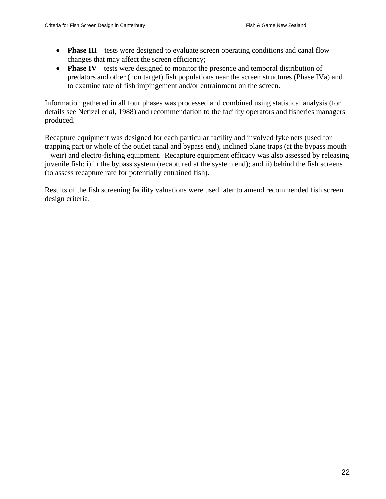- **Phase III** tests were designed to evaluate screen operating conditions and canal flow changes that may affect the screen efficiency;
- **Phase IV** tests were designed to monitor the presence and temporal distribution of predators and other (non target) fish populations near the screen structures (Phase IVa) and to examine rate of fish impingement and/or entrainment on the screen.

Information gathered in all four phases was processed and combined using statistical analysis (for details see Netizel *et a*l, 1988) and recommendation to the facility operators and fisheries managers produced.

Recapture equipment was designed for each particular facility and involved fyke nets (used for trapping part or whole of the outlet canal and bypass end), inclined plane traps (at the bypass mouth – weir) and electro-fishing equipment. Recapture equipment efficacy was also assessed by releasing juvenile fish: i) in the bypass system (recaptured at the system end); and ii) behind the fish screens (to assess recapture rate for potentially entrained fish).

Results of the fish screening facility valuations were used later to amend recommended fish screen design criteria.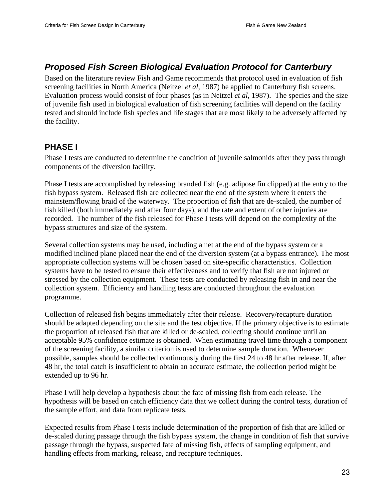### *Proposed Fish Screen Biological Evaluation Protocol for Canterbury*

Based on the literature review Fish and Game recommends that protocol used in evaluation of fish screening facilities in North America (Neitzel *et al*, 1987) be applied to Canterbury fish screens. Evaluation process would consist of four phases (as in Neitzel *et al*, 1987). The species and the size of juvenile fish used in biological evaluation of fish screening facilities will depend on the facility tested and should include fish species and life stages that are most likely to be adversely affected by the facility.

### **PHASE I**

Phase I tests are conducted to determine the condition of juvenile salmonids after they pass through components of the diversion facility.

Phase I tests are accomplished by releasing branded fish (e.g. adipose fin clipped) at the entry to the fish bypass system. Released fish are collected near the end of the system where it enters the mainstem/flowing braid of the waterway. The proportion of fish that are de-scaled, the number of fish killed (both immediately and after four days), and the rate and extent of other injuries are recorded. The number of the fish released for Phase I tests will depend on the complexity of the bypass structures and size of the system.

Several collection systems may be used, including a net at the end of the bypass system or a modified inclined plane placed near the end of the diversion system (at a bypass entrance). The most appropriate collection systems will be chosen based on site-specific characteristics. Collection systems have to be tested to ensure their effectiveness and to verify that fish are not injured or stressed by the collection equipment. These tests are conducted by releasing fish in and near the collection system. Efficiency and handling tests are conducted throughout the evaluation programme.

Collection of released fish begins immediately after their release. Recovery/recapture duration should be adapted depending on the site and the test objective. If the primary objective is to estimate the proportion of released fish that are killed or de-scaled, collecting should continue until an acceptable 95% confidence estimate is obtained. When estimating travel time through a component of the screening facility, a similar criterion is used to determine sample duration. Whenever possible, samples should be collected continuously during the first 24 to 48 hr after release. If, after 48 hr, the total catch is insufficient to obtain an accurate estimate, the collection period might be extended up to 96 hr.

Phase I will help develop a hypothesis about the fate of missing fish from each release. The hypothesis will be based on catch efficiency data that we collect during the control tests, duration of the sample effort, and data from replicate tests.

Expected results from Phase I tests include determination of the proportion of fish that are killed or de-scaled during passage through the fish bypass system, the change in condition of fish that survive passage through the bypass, suspected fate of missing fish, effects of sampling equipment, and handling effects from marking, release, and recapture techniques.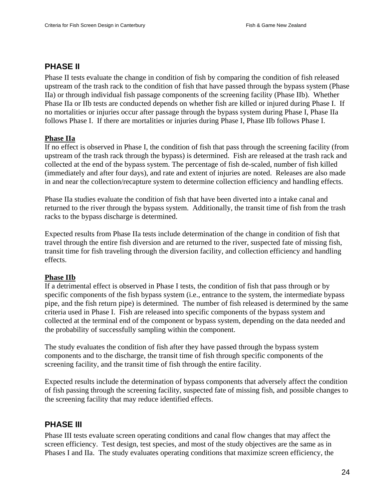### **PHASE II**

Phase II tests evaluate the change in condition of fish by comparing the condition of fish released upstream of the trash rack to the condition of fish that have passed through the bypass system (Phase IIa) or through individual fish passage components of the screening facility (Phase IIb). Whether Phase IIa or IIb tests are conducted depends on whether fish are killed or injured during Phase I. If no mortalities or injuries occur after passage through the bypass system during Phase I, Phase IIa follows Phase I. If there are mortalities or injuries during Phase I, Phase IIb follows Phase I.

#### **Phase IIa**

If no effect is observed in Phase I, the condition of fish that pass through the screening facility (from upstream of the trash rack through the bypass) is determined. Fish are released at the trash rack and collected at the end of the bypass system. The percentage of fish de-scaled, number of fish killed (immediately and after four days), and rate and extent of injuries are noted. Releases are also made in and near the collection/recapture system to determine collection efficiency and handling effects.

Phase IIa studies evaluate the condition of fish that have been diverted into a intake canal and returned to the river through the bypass system. Additionally, the transit time of fish from the trash racks to the bypass discharge is determined.

Expected results from Phase IIa tests include determination of the change in condition of fish that travel through the entire fish diversion and are returned to the river, suspected fate of missing fish, transit time for fish traveling through the diversion facility, and collection efficiency and handling effects.

#### **Phase IIb**

If a detrimental effect is observed in Phase I tests, the condition of fish that pass through or by specific components of the fish bypass system (i.e., entrance to the system, the intermediate bypass pipe, and the fish return pipe) is determined. The number of fish released is determined by the same criteria used in Phase I. Fish are released into specific components of the bypass system and collected at the terminal end of the component or bypass system, depending on the data needed and the probability of successfully sampling within the component.

The study evaluates the condition of fish after they have passed through the bypass system components and to the discharge, the transit time of fish through specific components of the screening facility, and the transit time of fish through the entire facility.

Expected results include the determination of bypass components that adversely affect the condition of fish passing through the screening facility, suspected fate of missing fish, and possible changes to the screening facility that may reduce identified effects.

### **PHASE III**

Phase III tests evaluate screen operating conditions and canal flow changes that may affect the screen efficiency. Test design, test species, and most of the study objectives are the same as in Phases I and IIa. The study evaluates operating conditions that maximize screen efficiency, the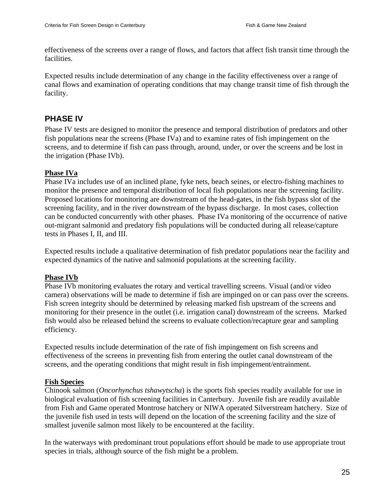effectiveness of the screens over a range of flows, and factors that affect fish transit time through the facilities.

Expected results include determination of any change in the facility effectiveness over a range of canal flows and examination of operating conditions that may change transit time of fish through the facility.

### **PHASE IV**

Phase IV tests are designed to monitor the presence and temporal distribution of predators and other fish populations near the screens (Phase IVa) and to examine rates of fish impingement on the screens, and to determine if fish can pass through, around, under, or over the screens and be lost in the irrigation (Phase IVb).

#### **Phase IVa**

Phase IVa includes use of an inclined plane, fyke nets, beach seines, or electro-fishing machines to monitor the presence and temporal distribution of local fish populations near the screening facility. Proposed locations for monitoring are downstream of the head-gates, in the fish bypass slot of the screening facility, and in the river downstream of the bypass discharge. In most cases, collection can be conducted concurrently with other phases. Phase IVa monitoring of the occurrence of native out-migrant salmonid and predatory fish populations will be conducted during all release/capture tests in Phases I, II, and III.

Expected results include a qualitative determination of fish predator populations near the facility and expected dynamics of the native and salmonid populations at the screening facility.

#### **Phase IVb**

Phase IVb monitoring evaluates the rotary and vertical travelling screens. Visual (and/or video camera) observations will be made to determine if fish are impinged on or can pass over the screens. Fish screen integrity should be determined by releasing marked fish upstream of the screens and monitoring for their presence in the outlet (i.e. irrigation canal) downstream of the screens. Marked fish would also be released behind the screens to evaluate collection/recapture gear and sampling efficiency.

Expected results include determination of the rate of fish impingement on fish screens and effectiveness of the screens in preventing fish from entering the outlet canal downstream of the screens, and the operating conditions that might result in fish impingement/entrainment.

#### **Fish Species**

Chinook salmon (*Oncorhynchus tshawytscha*) is the sports fish species readily available for use in biological evaluation of fish screening facilities in Canterbury. Juvenile fish are readily available from Fish and Game operated Montrose hatchery or NIWA operated Silverstream hatchery. Size of the juvenile fish used in tests will depend on the location of the screening facility and the size of smallest juvenile salmon most likely to be encountered at the facility.

In the waterways with predominant trout populations effort should be made to use appropriate trout species in trials, although source of the fish might be a problem.